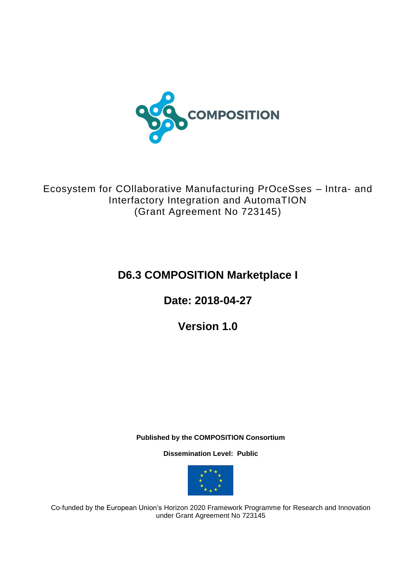

Ecosystem for COllaborative Manufacturing PrOceSses – Intra- and Interfactory Integration and AutomaTION (Grant Agreement No 723145)

# **D6.3 COMPOSITION Marketplace I**

**Date: 2018-04-27**

**Version 1.0**

**Published by the COMPOSITION Consortium** 

**Dissemination Level: Public**



Co-funded by the European Union's Horizon 2020 Framework Programme for Research and Innovation under Grant Agreement No 723145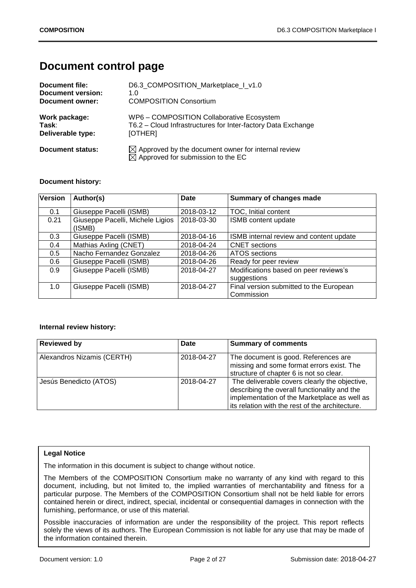# **Document control page**

| Document file:           | D6.3 COMPOSITION Marketplace I v1.0                                                                             |
|--------------------------|-----------------------------------------------------------------------------------------------------------------|
| <b>Document version:</b> | 1. $\Omega$                                                                                                     |
| Document owner:          | <b>COMPOSITION Consortium</b>                                                                                   |
| Work package:            | WP6 - COMPOSITION Collaborative Ecosystem                                                                       |
| Task:                    | T6.2 - Cloud Infrastructures for Inter-factory Data Exchange                                                    |
| Deliverable type:        | [OTHER]                                                                                                         |
| <b>Document status:</b>  | $\boxtimes$ Approved by the document owner for internal review<br>$\boxtimes$ Approved for submission to the EC |

#### **Document history:**

| Version | Author(s)                                  | <b>Date</b> | Summary of changes made                               |
|---------|--------------------------------------------|-------------|-------------------------------------------------------|
| 0.1     | Giuseppe Pacelli (ISMB)                    | 2018-03-12  | TOC, Initial content                                  |
| 0.21    | Giuseppe Pacelli, Michele Ligios<br>(ISMB) | 2018-03-30  | ISMB content update                                   |
| 0.3     | Giuseppe Pacelli (ISMB)                    | 2018-04-16  | ISMB internal review and content update               |
| 0.4     | Mathias Axling (CNET)                      | 2018-04-24  | <b>CNET</b> sections                                  |
| 0.5     | Nacho Fernandez Gonzalez                   | 2018-04-26  | <b>ATOS</b> sections                                  |
| 0.6     | Giuseppe Pacelli (ISMB)                    | 2018-04-26  | Ready for peer review                                 |
| 0.9     | Giuseppe Pacelli (ISMB)                    | 2018-04-27  | Modifications based on peer reviews's<br>suggestions  |
| 1.0     | Giuseppe Pacelli (ISMB)                    | 2018-04-27  | Final version submitted to the European<br>Commission |

#### **Internal review history:**

| <b>Reviewed by</b>         | Date       | <b>Summary of comments</b>                                                                                                                                                                       |
|----------------------------|------------|--------------------------------------------------------------------------------------------------------------------------------------------------------------------------------------------------|
| Alexandros Nizamis (CERTH) | 2018-04-27 | The document is good. References are<br>missing and some format errors exist. The<br>structure of chapter 6 is not so clear.                                                                     |
| Jesús Benedicto (ATOS)     | 2018-04-27 | The deliverable covers clearly the objective,<br>describing the overall functionality and the<br>implementation of the Marketplace as well as<br>its relation with the rest of the architecture. |

#### **Legal Notice**

The information in this document is subject to change without notice.

The Members of the COMPOSITION Consortium make no warranty of any kind with regard to this document, including, but not limited to, the implied warranties of merchantability and fitness for a particular purpose. The Members of the COMPOSITION Consortium shall not be held liable for errors contained herein or direct, indirect, special, incidental or consequential damages in connection with the furnishing, performance, or use of this material.

Possible inaccuracies of information are under the responsibility of the project. This report reflects solely the views of its authors. The European Commission is not liable for any use that may be made of the information contained therein.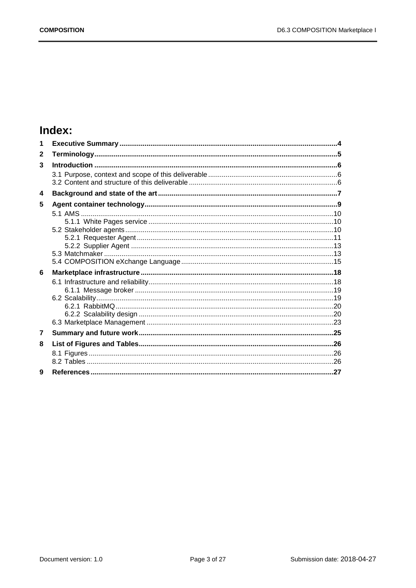# Index:

| 1              |  |
|----------------|--|
| $\mathbf{2}$   |  |
| 3              |  |
|                |  |
|                |  |
| 4              |  |
| 5              |  |
|                |  |
|                |  |
|                |  |
|                |  |
|                |  |
|                |  |
| 6              |  |
|                |  |
|                |  |
|                |  |
|                |  |
|                |  |
|                |  |
| $\overline{7}$ |  |
| 8              |  |
|                |  |
|                |  |
| 9              |  |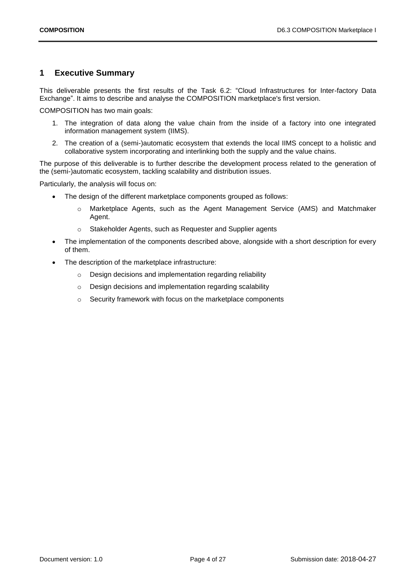## <span id="page-3-0"></span>**1 Executive Summary**

This deliverable presents the first results of the Task 6.2: "Cloud Infrastructures for Inter-factory Data Exchange". It aims to describe and analyse the COMPOSITION marketplace's first version.

COMPOSITION has two main goals:

- 1. The integration of data along the value chain from the inside of a factory into one integrated information management system (IIMS).
- 2. The creation of a (semi-)automatic ecosystem that extends the local IIMS concept to a holistic and collaborative system incorporating and interlinking both the supply and the value chains.

The purpose of this deliverable is to further describe the development process related to the generation of the (semi-)automatic ecosystem, tackling scalability and distribution issues.

Particularly, the analysis will focus on:

- The design of the different marketplace components grouped as follows:
	- o Marketplace Agents, such as the Agent Management Service (AMS) and Matchmaker Agent.
	- o Stakeholder Agents, such as Requester and Supplier agents
- The implementation of the components described above, alongside with a short description for every of them.
- The description of the marketplace infrastructure:
	- o Design decisions and implementation regarding reliability
	- o Design decisions and implementation regarding scalability
	- o Security framework with focus on the marketplace components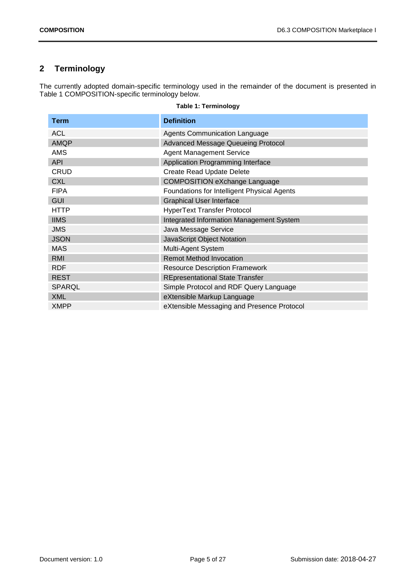# <span id="page-4-0"></span>**2 Terminology**

The currently adopted domain-specific terminology used in the remainder of the document is presented in [Table 1](#page-4-1) COMPOSITION-specific terminology below.

<span id="page-4-1"></span>

| Term          | <b>Definition</b>                           |
|---------------|---------------------------------------------|
| <b>ACL</b>    | <b>Agents Communication Language</b>        |
| <b>AMQP</b>   | <b>Advanced Message Queueing Protocol</b>   |
| AMS           | <b>Agent Management Service</b>             |
| <b>API</b>    | Application Programming Interface           |
| <b>CRUD</b>   | <b>Create Read Update Delete</b>            |
| <b>CXL</b>    | <b>COMPOSITION eXchange Language</b>        |
| <b>FIPA</b>   | Foundations for Intelligent Physical Agents |
| <b>GUI</b>    | <b>Graphical User Interface</b>             |
| <b>HTTP</b>   | <b>HyperText Transfer Protocol</b>          |
| <b>IIMS</b>   | Integrated Information Management System    |
| <b>JMS</b>    | Java Message Service                        |
| <b>JSON</b>   | <b>JavaScript Object Notation</b>           |
| <b>MAS</b>    | Multi-Agent System                          |
| RMI           | <b>Remot Method Invocation</b>              |
| <b>RDF</b>    | <b>Resource Description Framework</b>       |
| <b>REST</b>   | <b>REpresentational State Transfer</b>      |
| <b>SPARQL</b> | Simple Protocol and RDF Query Language      |
| <b>XML</b>    | eXtensible Markup Language                  |
| <b>XMPP</b>   | eXtensible Messaging and Presence Protocol  |

#### **Table 1: Terminology**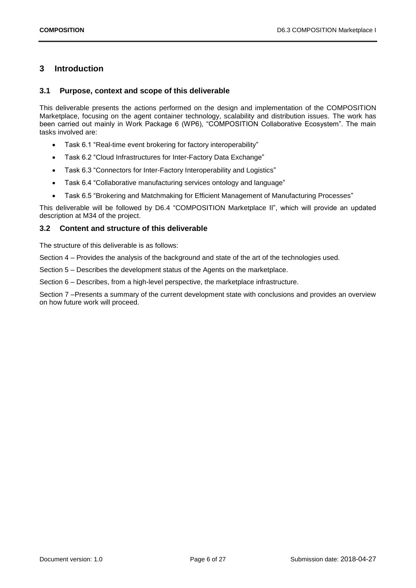## <span id="page-5-0"></span>**3 Introduction**

#### <span id="page-5-1"></span>**3.1 Purpose, context and scope of this deliverable**

This deliverable presents the actions performed on the design and implementation of the COMPOSITION Marketplace, focusing on the agent container technology, scalability and distribution issues. The work has been carried out mainly in Work Package 6 (WP6), "COMPOSITION Collaborative Ecosystem". The main tasks involved are:

- Task 6.1 "Real-time event brokering for factory interoperability"
- Task 6.2 "Cloud Infrastructures for Inter-Factory Data Exchange"
- Task 6.3 "Connectors for Inter-Factory Interoperability and Logistics"
- Task 6.4 "Collaborative manufacturing services ontology and language"
- Task 6.5 "Brokering and Matchmaking for Efficient Management of Manufacturing Processes"

This deliverable will be followed by D6.4 "COMPOSITION Marketplace II", which will provide an updated description at M34 of the project.

#### <span id="page-5-2"></span>**3.2 Content and structure of this deliverable**

The structure of this deliverable is as follows:

Section 4 – Provides the analysis of the background and state of the art of the technologies used.

Section 5 – Describes the development status of the Agents on the marketplace.

Section 6 – Describes, from a high-level perspective, the marketplace infrastructure.

Section 7 –Presents a summary of the current development state with conclusions and provides an overview on how future work will proceed.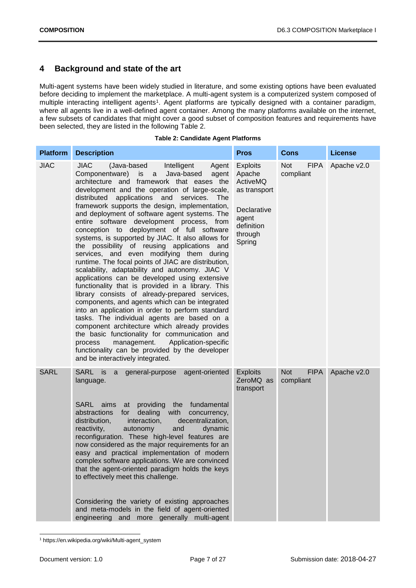# <span id="page-6-0"></span>**4 Background and state of the art**

Multi-agent systems have been widely studied in literature, and some existing options have been evaluated before deciding to implement the marketplace. A multi-agent system is a computerized system composed of multiple interacting intelligent agents<sup>1</sup>. Agent platforms are typically designed with a container paradigm, where all agents live in a well-defined agent container. Among the many platforms available on the internet, a few subsets of candidates that might cover a good subset of composition features and requirements have been selected, they are listed in the following [Table 2.](#page-6-1)

|  | <b>Table 2: Candidate Agent Platforms</b> |  |
|--|-------------------------------------------|--|
|  |                                           |  |

<span id="page-6-1"></span>

| <b>Platform</b> | <b>Description</b>                                                                                                                                                                                                                                                                                                                                                                                                                                                                                                                                                                                                                                                                                                                                                                                                                                                                                                                                                                                                                                                                                                                                                                                                                                                    | <b>Pros</b>                                                                                                      | <b>Cons</b>                            | <b>License</b> |
|-----------------|-----------------------------------------------------------------------------------------------------------------------------------------------------------------------------------------------------------------------------------------------------------------------------------------------------------------------------------------------------------------------------------------------------------------------------------------------------------------------------------------------------------------------------------------------------------------------------------------------------------------------------------------------------------------------------------------------------------------------------------------------------------------------------------------------------------------------------------------------------------------------------------------------------------------------------------------------------------------------------------------------------------------------------------------------------------------------------------------------------------------------------------------------------------------------------------------------------------------------------------------------------------------------|------------------------------------------------------------------------------------------------------------------|----------------------------------------|----------------|
| <b>JIAC</b>     | <b>JIAC</b><br>(Java-based<br>Intelligent<br>Agent<br>Componentware) is<br>Java-based<br>agent<br>a<br>architecture and framework that eases the<br>development and the operation of large-scale,<br>applications and<br>distributed<br>services.<br>The<br>framework supports the design, implementation,<br>and deployment of software agent systems. The<br>entire software development process, from<br>conception to deployment of full software<br>systems, is supported by JIAC. It also allows for<br>the possibility of reusing applications and<br>services, and even modifying them during<br>runtime. The focal points of JIAC are distribution,<br>scalability, adaptability and autonomy. JIAC V<br>applications can be developed using extensive<br>functionality that is provided in a library. This<br>library consists of already-prepared services,<br>components, and agents which can be integrated<br>into an application in order to perform standard<br>tasks. The individual agents are based on a<br>component architecture which already provides<br>the basic functionality for communication and<br>management.<br>Application-specific<br>process<br>functionality can be provided by the developer<br>and be interactively integrated. | <b>Exploits</b><br>Apache<br>ActiveMQ<br>as transport<br>Declarative<br>agent<br>definition<br>through<br>Spring | Not<br><b>FIPA</b><br>compliant        | Apache v2.0    |
| <b>SARL</b>     | SARL is<br>agent-oriented<br>a<br>general-purpose<br>language.<br>providing the fundamental<br>SARL aims<br>at<br>dealing<br>with<br>abstractions<br>for<br>concurrency,<br>distribution,<br>interaction,<br>decentralization,<br>reactivity,<br>autonomy<br>and<br>dynamic<br>reconfiguration. These high-level features are<br>now considered as the major requirements for an<br>easy and practical implementation of modern<br>complex software applications. We are convinced<br>that the agent-oriented paradigm holds the keys<br>to effectively meet this challenge.<br>Considering the variety of existing approaches<br>and meta-models in the field of agent-oriented<br>engineering and more generally multi-agent                                                                                                                                                                                                                                                                                                                                                                                                                                                                                                                                        | <b>Exploits</b><br>ZeroMQ as<br>transport                                                                        | <b>Not</b><br><b>FIPA</b><br>compliant | Apache v2.0    |

<sup>-</sup><sup>1</sup> https://en.wikipedia.org/wiki/Multi-agent\_system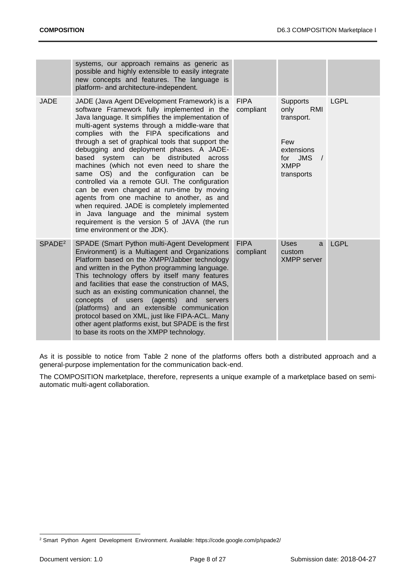|                    | systems, our approach remains as generic as<br>possible and highly extensible to easily integrate<br>new concepts and features. The language is<br>platform- and architecture-independent.                                                                                                                                                                                                                                                                                                                                                                                                                                                                                                                                                                                                                       |                          |                                                                                                                     |             |
|--------------------|------------------------------------------------------------------------------------------------------------------------------------------------------------------------------------------------------------------------------------------------------------------------------------------------------------------------------------------------------------------------------------------------------------------------------------------------------------------------------------------------------------------------------------------------------------------------------------------------------------------------------------------------------------------------------------------------------------------------------------------------------------------------------------------------------------------|--------------------------|---------------------------------------------------------------------------------------------------------------------|-------------|
| <b>JADE</b>        | JADE (Java Agent DEvelopment Framework) is a<br>software Framework fully implemented in the<br>Java language. It simplifies the implementation of<br>multi-agent systems through a middle-ware that<br>complies with the FIPA specifications and<br>through a set of graphical tools that support the<br>debugging and deployment phases. A JADE-<br>based system can<br>be distributed across<br>machines (which not even need to share the<br>same OS) and the configuration can be<br>controlled via a remote GUI. The configuration<br>can be even changed at run-time by moving<br>agents from one machine to another, as and<br>when required. JADE is completely implemented<br>in Java language and the minimal system<br>requirement is the version 5 of JAVA (the run<br>time environment or the JDK). | <b>FIPA</b><br>compliant | <b>Supports</b><br>only<br>RMI<br>transport.<br>Few<br>extensions<br><b>JMS</b><br>for<br><b>XMPP</b><br>transports | <b>LGPL</b> |
| SPADE <sup>2</sup> | SPADE (Smart Python multi-Agent Development<br>Environment) is a Multiagent and Organizations<br>Platform based on the XMPP/Jabber technology<br>and written in the Python programming language.<br>This technology offers by itself many features<br>and facilities that ease the construction of MAS,<br>such as an existing communication channel, the<br>of users<br>concepts<br>(agents)<br>and<br>servers<br>(platforms) and an extensible communication<br>protocol based on XML, just like FIPA-ACL. Many<br>other agent platforms exist, but SPADE is the first<br>to base its roots on the XMPP technology.                                                                                                                                                                                            | <b>FIPA</b><br>compliant | <b>Uses</b><br>a<br>custom<br><b>XMPP</b> server                                                                    | <b>LGPL</b> |

As it is possible to notice from [Table 2](#page-6-1) none of the platforms offers both a distributed approach and a general-purpose implementation for the communication back-end.

The COMPOSITION marketplace, therefore, represents a unique example of a marketplace based on semiautomatic multi-agent collaboration.

<sup>-</sup><sup>2</sup> Smart Python Agent Development Environment. Available: https://code.google.com/p/spade2/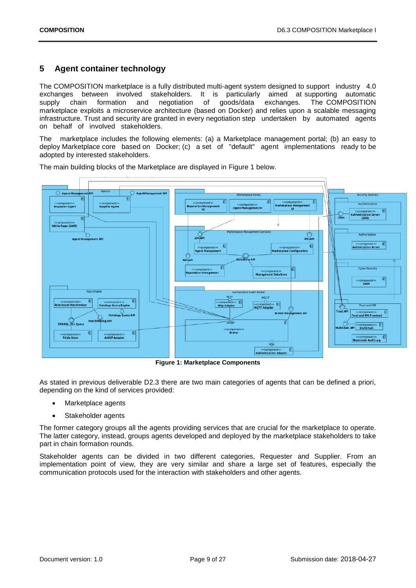# <span id="page-8-0"></span>**5 Agent container technology**

The COMPOSITION marketplace is a fully distributed multi-agent system designed to support industry 4.0 exchanges between involved stakeholders. It is particularly aimed at supporting automatic supply chain formation and negotiation of goods/data exchanges. The COMPOSITION marketplace exploits a microservice architecture (based on Docker) and relies upon a scalable messaging infrastructure. Trust and security are granted in every negotiation step undertaken by automated agents on behalf of involved stakeholders.

The marketplace includes the following elements: (a) a Marketplace management portal; (b) an easy to deploy Marketplace core based on Docker; (c) a set of "default" agent implementations ready to be adopted by interested stakeholders.



The main building blocks of the Marketplace are displayed in [Figure 1](#page-8-1) below.

**Figure 1: Marketplace Components**

<span id="page-8-1"></span>As stated in previous deliverable D2.3 there are two main categories of agents that can be defined a priori, depending on the kind of services provided:

- Marketplace agents
- Stakeholder agents

The former category groups all the agents providing services that are crucial for the marketplace to operate. The latter category, instead, groups agents developed and deployed by the marketplace stakeholders to take part in chain formation rounds.

Stakeholder agents can be divided in two different categories, Requester and Supplier. From an implementation point of view, they are very similar and share a large set of features, especially the communication protocols used for the interaction with stakeholders and other agents.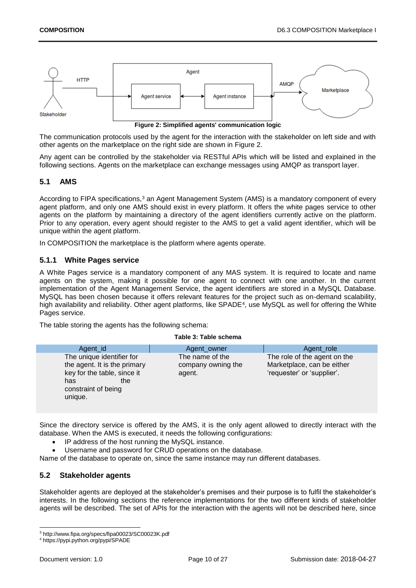

**Figure 2: Simplified agents' communication logic**

<span id="page-9-3"></span>The communication protocols used by the agent for the interaction with the stakeholder on left side and with other agents on the marketplace on the right side are shown in [Figure 2.](#page-9-3)

Any agent can be controlled by the stakeholder via RESTful APIs which will be listed and explained in the following sections. Agents on the marketplace can exchange messages using AMQP as transport layer.

## <span id="page-9-0"></span>**5.1 AMS**

According to FIPA specifications,<sup>3</sup> an Agent Management System (AMS) is a mandatory component of every agent platform, and only one AMS should exist in every platform. It offers the white pages service to other agents on the platform by maintaining a directory of the agent identifiers currently active on the platform. Prior to any operation, every agent should register to the AMS to get a valid agent identifier, which will be unique within the agent platform.

In COMPOSITION the marketplace is the platform where agents operate.

### <span id="page-9-1"></span>**5.1.1 White Pages service**

A White Pages service is a mandatory component of any MAS system. It is required to locate and name agents on the system, making it possible for one agent to connect with one another. In the current implementation of the Agent Management Service, the agent identifiers are stored in a MySQL Database. MySQL has been chosen because it offers relevant features for the project such as on-demand scalability, high availability and reliability. Other agent platforms, like SPADE<sup>4</sup>, use MySQL as well for offering the White Pages service.

The table storing the agents has the following schema:

<span id="page-9-4"></span>

|                                                                                                                                          | TUNIC VI TUNIC SUITUITIU                        |                                                                                          |
|------------------------------------------------------------------------------------------------------------------------------------------|-------------------------------------------------|------------------------------------------------------------------------------------------|
| Agent_id                                                                                                                                 | Agent_owner                                     | Agent_role                                                                               |
| The unique identifier for<br>the agent. It is the primary<br>key for the table, since it<br>has<br>the<br>constraint of being<br>unique. | The name of the<br>company owning the<br>agent. | The role of the agent on the<br>Marketplace, can be either<br>'requester' or 'supplier'. |
|                                                                                                                                          |                                                 |                                                                                          |

**Table 3: Table schema**

Since the directory service is offered by the AMS, it is the only agent allowed to directly interact with the database. When the AMS is executed, it needs the following configurations:

- IP address of the host running the MySQL instance.
- Username and password for CRUD operations on the database.

Name of the database to operate on, since the same instance may run different databases.

#### <span id="page-9-2"></span>**5.2 Stakeholder agents**

Stakeholder agents are deployed at the stakeholder's premises and their purpose is to fulfil the stakeholder's interests. In the following sections the reference implementations for the two different kinds of stakeholder agents will be described. The set of APIs for the interaction with the agents will not be described here, since

1

<sup>3</sup> http://www.fipa.org/specs/fipa00023/SC00023K.pdf

<sup>4</sup> https://pypi.python.org/pypi/SPADE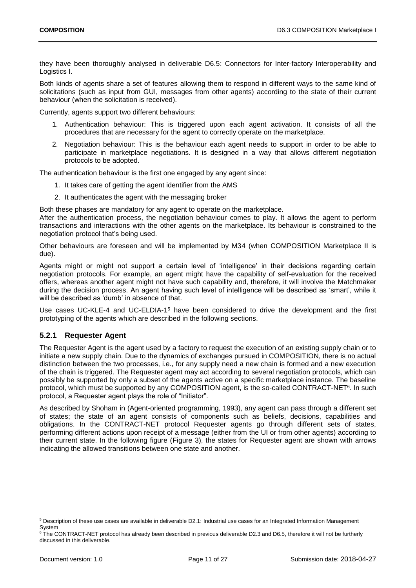they have been thoroughly analysed in deliverable D6.5: Connectors for Inter-factory Interoperability and Logistics I.

Both kinds of agents share a set of features allowing them to respond in different ways to the same kind of solicitations (such as input from GUI, messages from other agents) according to the state of their current behaviour (when the solicitation is received).

Currently, agents support two different behaviours:

- 1. Authentication behaviour: This is triggered upon each agent activation. It consists of all the procedures that are necessary for the agent to correctly operate on the marketplace.
- 2. Negotiation behaviour: This is the behaviour each agent needs to support in order to be able to participate in marketplace negotiations. It is designed in a way that allows different negotiation protocols to be adopted.

The authentication behaviour is the first one engaged by any agent since:

- 1. It takes care of getting the agent identifier from the AMS
- 2. It authenticates the agent with the messaging broker

Both these phases are mandatory for any agent to operate on the marketplace.

After the authentication process, the negotiation behaviour comes to play. It allows the agent to perform transactions and interactions with the other agents on the marketplace. Its behaviour is constrained to the negotiation protocol that's being used.

Other behaviours are foreseen and will be implemented by M34 (when COMPOSITION Marketplace II is due).

Agents might or might not support a certain level of 'intelligence' in their decisions regarding certain negotiation protocols. For example, an agent might have the capability of self-evaluation for the received offers, whereas another agent might not have such capability and, therefore, it will involve the Matchmaker during the decision process. An agent having such level of intelligence will be described as 'smart', while it will be described as 'dumb' in absence of that.

Use cases UC-KLE-4 and UC-ELDIA-1<sup>5</sup> have been considered to drive the development and the first prototyping of the agents which are described in the following sections.

## <span id="page-10-0"></span>**5.2.1 Requester Agent**

The Requester Agent is the agent used by a factory to request the execution of an existing supply chain or to initiate a new supply chain. Due to the dynamics of exchanges pursued in COMPOSITION, there is no actual distinction between the two processes, i.e., for any supply need a new chain is formed and a new execution of the chain is triggered. The Requester agent may act according to several negotiation protocols, which can possibly be supported by only a subset of the agents active on a specific marketplace instance. The baseline protocol, which must be supported by any COMPOSITION agent, is the so-called CONTRACT-NET<sup>6</sup>. In such protocol, a Requester agent plays the role of "Initiator".

As described by Shoham in (Agent-oriented programming, 1993), any agent can pass through a different set of states; the state of an agent consists of components such as beliefs, decisions, capabilities and obligations. In the CONTRACT-NET protocol Requester agents go through different sets of states, performing different actions upon receipt of a message (either from the UI or from other agents) according to their current state. In the following figure [\(Figure 3\)](#page-11-0), the states for Requester agent are shown with arrows indicating the allowed transitions between one state and another.

1

 $5$  Description of these use cases are available in deliverable D2.1: Industrial use cases for an Integrated Information Management System

<sup>&</sup>lt;sup>6</sup> The CONTRACT-NET protocol has already been described in previous deliverable D2.3 and D6.5, therefore it will not be furtherly discussed in this deliverable.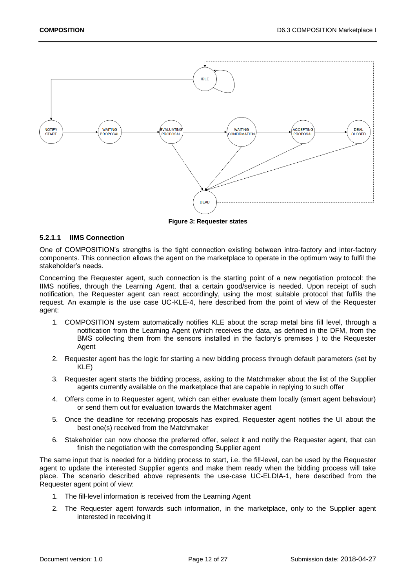

**Figure 3: Requester states**

#### <span id="page-11-1"></span><span id="page-11-0"></span>**5.2.1.1 IIMS Connection**

One of COMPOSITION's strengths is the tight connection existing between intra-factory and inter-factory components. This connection allows the agent on the marketplace to operate in the optimum way to fulfil the stakeholder's needs.

Concerning the Requester agent, such connection is the starting point of a new negotiation protocol: the IIMS notifies, through the Learning Agent, that a certain good/service is needed. Upon receipt of such notification, the Requester agent can react accordingly, using the most suitable protocol that fulfils the request. An example is the use case UC-KLE-4, here described from the point of view of the Requester agent:

- 1. COMPOSITION system automatically notifies KLE about the scrap metal bins fill level, through a notification from the Learning Agent (which receives the data, as defined in the DFM, from the BMS collecting them from the sensors installed in the factory's premises ) to the Requester Agent
- 2. Requester agent has the logic for starting a new bidding process through default parameters (set by KLE)
- 3. Requester agent starts the bidding process, asking to the Matchmaker about the list of the Supplier agents currently available on the marketplace that are capable in replying to such offer
- 4. Offers come in to Requester agent, which can either evaluate them locally (smart agent behaviour) or send them out for evaluation towards the Matchmaker agent
- 5. Once the deadline for receiving proposals has expired, Requester agent notifies the UI about the best one(s) received from the Matchmaker
- 6. Stakeholder can now choose the preferred offer, select it and notify the Requester agent, that can finish the negotiation with the corresponding Supplier agent

The same input that is needed for a bidding process to start, i.e. the fill-level, can be used by the Requester agent to update the interested Supplier agents and make them ready when the bidding process will take place. The scenario described above represents the use-case UC-ELDIA-1, here described from the Requester agent point of view:

- 1. The fill-level information is received from the Learning Agent
- 2. The Requester agent forwards such information, in the marketplace, only to the Supplier agent interested in receiving it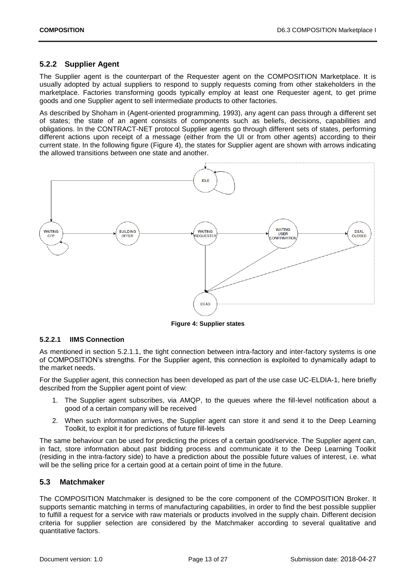### <span id="page-12-0"></span>**5.2.2 Supplier Agent**

The Supplier agent is the counterpart of the Requester agent on the COMPOSITION Marketplace. It is usually adopted by actual suppliers to respond to supply requests coming from other stakeholders in the marketplace. Factories transforming goods typically employ at least one Requester agent, to get prime goods and one Supplier agent to sell intermediate products to other factories.

As described by Shoham in (Agent-oriented programming, 1993), any agent can pass through a different set of states; the state of an agent consists of components such as beliefs, decisions, capabilities and obligations. In the CONTRACT-NET protocol Supplier agents go through different sets of states, performing different actions upon receipt of a message (either from the UI or from other agents) according to their current state. In the following figure [\(Figure 4\)](#page-12-2), the states for Supplier agent are shown with arrows indicating the allowed transitions between one state and another.



**Figure 4: Supplier states**

#### <span id="page-12-2"></span>**5.2.2.1 IIMS Connection**

As mentioned in section [5.2.1.1,](#page-11-1) the tight connection between intra-factory and inter-factory systems is one of COMPOSITION's strengths. For the Supplier agent, this connection is exploited to dynamically adapt to the market needs.

For the Supplier agent, this connection has been developed as part of the use case UC-ELDIA-1, here briefly described from the Supplier agent point of view:

- 1. The Supplier agent subscribes, via AMQP, to the queues where the fill-level notification about a good of a certain company will be received
- 2. When such information arrives, the Supplier agent can store it and send it to the Deep Learning Toolkit, to exploit it for predictions of future fill-levels

The same behaviour can be used for predicting the prices of a certain good/service. The Supplier agent can, in fact, store information about past bidding process and communicate it to the Deep Learning Toolkit (residing in the intra-factory side) to have a prediction about the possible future values of interest, i.e. what will be the selling price for a certain good at a certain point of time in the future.

#### <span id="page-12-1"></span>**5.3 Matchmaker**

The COMPOSITION Matchmaker is designed to be the core component of the COMPOSITION Broker. It supports semantic matching in terms of manufacturing capabilities, in order to find the best possible supplier to fulfill a request for a service with raw materials or products involved in the supply chain. Different decision criteria for supplier selection are considered by the Matchmaker according to several qualitative and quantitative factors.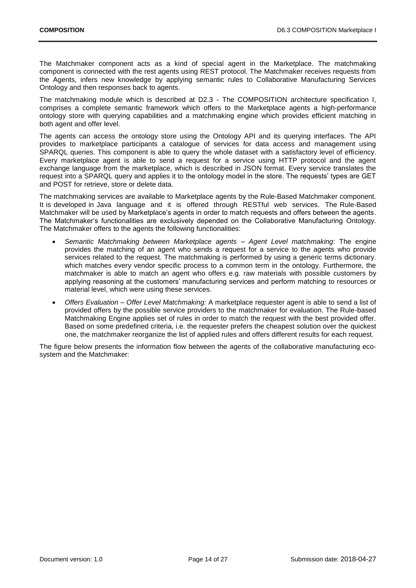The Matchmaker component acts as a kind of special agent in the Marketplace. The matchmaking component is connected with the rest agents using REST protocol. The Matchmaker receives requests from the Agents, infers new knowledge by applying semantic rules to Collaborative Manufacturing Services Ontology and then responses back to agents.

The matchmaking module which is described at D2.3 - The COMPOSITION architecture specification I, comprises a complete semantic framework which offers to the Marketplace agents a high-performance ontology store with querying capabilities and a matchmaking engine which provides efficient matching in both agent and offer level.

The agents can access the ontology store using the Ontology API and its querying interfaces. The API provides to marketplace participants a catalogue of services for data access and management using SPARQL queries. This component is able to query the whole dataset with a satisfactory level of efficiency. Every marketplace agent is able to send a request for a service using HTTP protocol and the agent exchange language from the marketplace, which is described in JSON format. Every service translates the request into a SPARQL query and applies it to the ontology model in the store. The requests' types are GET and POST for retrieve, store or delete data.

The matchmaking services are available to Marketplace agents by the Rule-Based Matchmaker component. It is developed in Java language and it is offered through RESTful web services. The Rule-Based Matchmaker will be used by Marketplace's agents in order to match requests and offers between the agents. The Matchmaker's functionalities are exclusively depended on the Collaborative Manufacturing Ontology. The Matchmaker offers to the agents the following functionalities:

- *Semantic Matchmaking between Marketplace agents – Agent Level matchmaking*: The engine provides the matching of an agent who sends a request for a service to the agents who provide services related to the request. The matchmaking is performed by using a generic terms dictionary. which matches every vendor specific process to a common term in the ontology. Furthermore, the matchmaker is able to match an agent who offers e.g. raw materials with possible customers by applying reasoning at the customers' manufacturing services and perform matching to resources or material level, which were using these services.
- *Offers Evaluation – Offer Level Matchmaking:* A marketplace requester agent is able to send a list of provided offers by the possible service providers to the matchmaker for evaluation. The Rule-based Matchmaking Engine applies set of rules in order to match the request with the best provided offer. Based on some predefined criteria, i.e. the requester prefers the cheapest solution over the quickest one, the matchmaker reorganize the list of applied rules and offers different results for each request.

The figure below presents the information flow between the agents of the collaborative manufacturing ecosystem and the Matchmaker: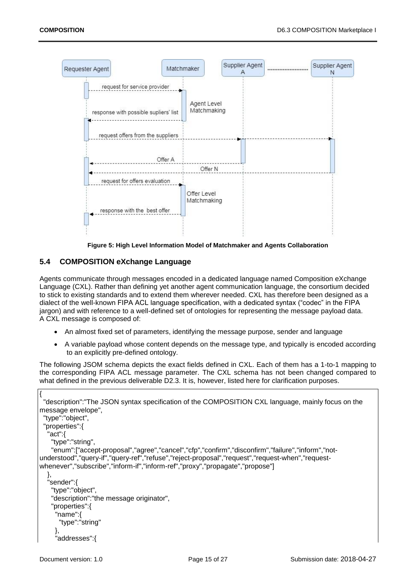

**Figure 5: High Level Information Model of Matchmaker and Agents Collaboration**

#### <span id="page-14-1"></span><span id="page-14-0"></span>**5.4 COMPOSITION eXchange Language**

Agents communicate through messages encoded in a dedicated language named Composition eXchange Language (CXL). Rather than defining yet another agent communication language, the consortium decided to stick to existing standards and to extend them wherever needed. CXL has therefore been designed as a dialect of the well-known FIPA ACL language specification, with a dedicated syntax ("codec" in the FIPA jargon) and with reference to a well-defined set of ontologies for representing the message payload data. A CXL message is composed of:

- An almost fixed set of parameters, identifying the message purpose, sender and language
- A variable payload whose content depends on the message type, and typically is encoded according to an explicitly pre-defined ontology.

The following JSOM schema depicts the exact fields defined in CXL. Each of them has a 1-to-1 mapping to the corresponding FIPA ACL message parameter. The CXL schema has not been changed compared to what defined in the previous deliverable D2.3. It is, however, listed here for clarification purposes.

```
{
  "description":"The JSON syntax specification of the COMPOSITION CXL language, mainly focus on the 
message envelope",
  "type":"object",
  "properties":{
   "act":{
    "type":"string",
    "enum":["accept-proposal","agree","cancel","cfp","confirm","disconfirm","failure","inform","not-
understood","query-if","query-ref","refuse","reject-proposal","request","request-when","request-
whenever","subscribe","inform-if","inform-ref","proxy","propagate","propose"]
   },
   "sender":{
    "type":"object",
    "description":"the message originator",
    "properties":{
      "name":{
       "type":"string"
      },
      "addresses":{
```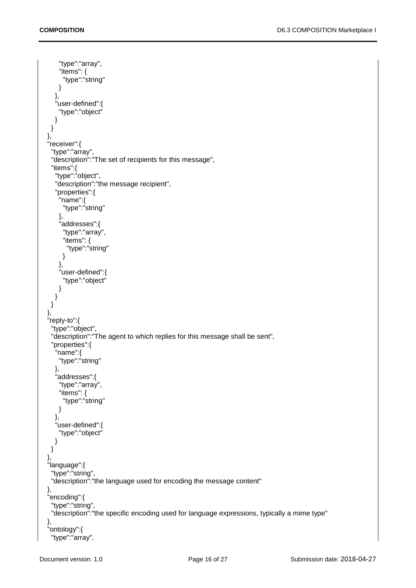```
 "type":"array",
       "items": {
         "type":"string"
       }
      },
      "user-defined":{
       "type":"object"
     }
    }
   },
   "receiver":{
 "type":"array",
 "description":"The set of recipients for this message",
     "items":{
      "type":"object",
      "description":"the message recipient",
      "properties":{
        "name":{
         "type":"string"
       },
        "addresses":{
         "type":"array",
         "items": {
          "type":"string"
         }
       },
       "user-defined":{
         "type":"object"
       }
     }
    }
   },
   "reply-to":{
     "type":"object",
     "description":"The agent to which replies for this message shall be sent",
     "properties":{
      "name":{
       "type":"string"
      },
      "addresses":{
       "type":"array",
       "items": {
         "type":"string"
       }
      },
      "user-defined":{
       "type":"object"
     }
    }
   },
   "language":{
    "type":"string",
     "description":"the language used for encoding the message content"
 },
 "encoding":{
    "type":"string",
     "description":"the specific encoding used for language expressions, typically a mime type"
   },
   "ontology":{
     "type":"array",
```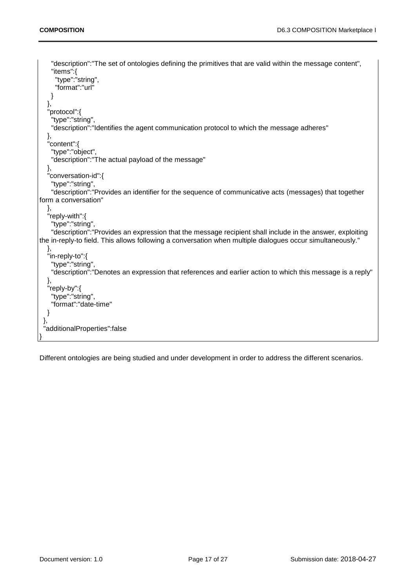```
 "description":"The set of ontologies defining the primitives that are valid within the message content",
     "items":{
      "type":"string",
      "format":"url"
    }
   },
   "protocol":{
     "type":"string",
     "description":"Identifies the agent communication protocol to which the message adheres"
   },
   "content":{
     "type":"object",
     "description":"The actual payload of the message"
   },
   "conversation-id":{
 "type":"string",
 "description":"Provides an identifier for the sequence of communicative acts (messages) that together 
form a conversation"
   },
   "reply-with":{
     "type":"string",
     "description":"Provides an expression that the message recipient shall include in the answer, exploiting 
the in-reply-to field. This allows following a conversation when multiple dialogues occur simultaneously."
   },
   "in-reply-to":{
     "type":"string",
     "description":"Denotes an expression that references and earlier action to which this message is a reply"
   },
   "reply-by":{
     "type":"string",
     "format":"date-time"
   }
 },
 "additionalProperties":false
}
```
Different ontologies are being studied and under development in order to address the different scenarios.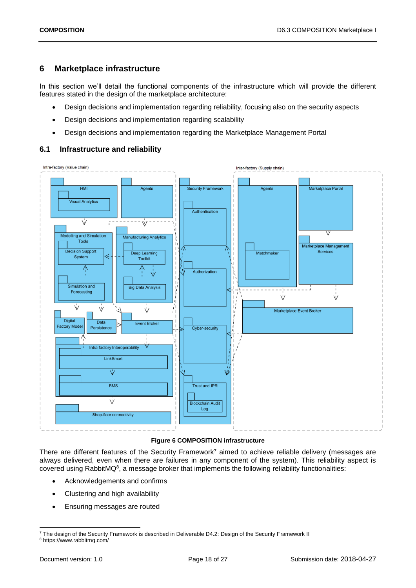## <span id="page-17-0"></span>**6 Marketplace infrastructure**

In this section we'll detail the functional components of the infrastructure which will provide the different features stated in the design of the marketplace architecture:

- Design decisions and implementation regarding reliability, focusing also on the security aspects
- Design decisions and implementation regarding scalability
- Design decisions and implementation regarding the Marketplace Management Portal

## <span id="page-17-1"></span>**6.1 Infrastructure and reliability**



#### **Figure 6 COMPOSITION infrastructure**

<span id="page-17-2"></span>There are different features of the Security Framework<sup>7</sup> aimed to achieve reliable delivery (messages are always delivered, even when there are failures in any component of the system). This reliability aspect is covered using RabbitMQ<sup>8</sup>, a message broker that implements the following reliability functionalities:

- Acknowledgements and confirms
- Clustering and high availability
- Ensuring messages are routed

1

<sup>7</sup> The design of the Security Framework is described in Deliverable D4.2: Design of the Security Framework II

<sup>8</sup> https://www.rabbitmq.com/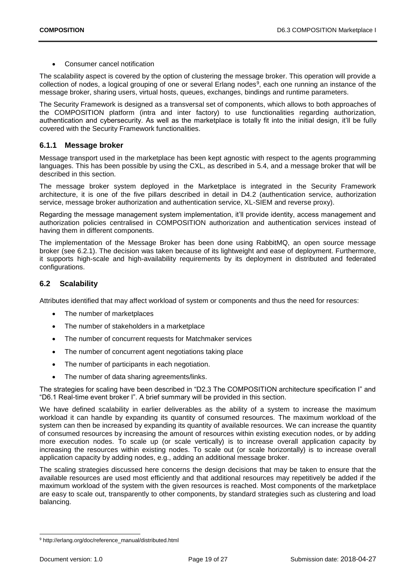• Consumer cancel notification

The scalability aspect is covered by the option of clustering the message broker. This operation will provide a collection of nodes, a logical grouping of one or several Erlang nodes<sup>9</sup>, each one running an instance of the message broker, sharing users, virtual hosts, queues, exchanges, bindings and runtime parameters.

The Security Framework is designed as a transversal set of components, which allows to both approaches of the COMPOSITION platform (intra and inter factory) to use functionalities regarding authorization, authentication and cybersecurity. As well as the marketplace is totally fit into the initial design, it'll be fully covered with the Security Framework functionalities.

### <span id="page-18-0"></span>**6.1.1 Message broker**

Message transport used in the marketplace has been kept agnostic with respect to the agents programming languages. This has been possible by using the CXL, as described in [5.4,](#page-14-0) and a message broker that will be described in this section.

The message broker system deployed in the Marketplace is integrated in the Security Framework architecture, it is one of the five pillars described in detail in D4.2 (authentication service, authorization service, message broker authorization and authentication service, XL-SIEM and reverse proxy).

Regarding the message management system implementation, it'll provide identity, access management and authorization policies centralised in COMPOSITION authorization and authentication services instead of having them in different components.

The implementation of the Message Broker has been done using RabbitMQ, an open source message broker (see [6.2.1\)](#page-19-0). The decision was taken because of its lightweight and ease of deployment. Furthermore, it supports high-scale and high-availability requirements by its deployment in distributed and federated configurations.

## <span id="page-18-1"></span>**6.2 Scalability**

Attributes identified that may affect workload of system or components and thus the need for resources:

- The number of marketplaces
- The number of stakeholders in a marketplace
- The number of concurrent requests for Matchmaker services
- The number of concurrent agent negotiations taking place
- The number of participants in each negotiation.
- The number of data sharing agreements/links.

The strategies for scaling have been described in "D2.3 The COMPOSITION architecture specification I" and "D6.1 Real-time event broker I". A brief summary will be provided in this section.

We have defined scalability in earlier deliverables as the ability of a system to increase the maximum workload it can handle by expanding its quantity of consumed resources. The maximum workload of the system can then be increased by expanding its quantity of available resources. We can increase the quantity of consumed resources by increasing the amount of resources within existing execution nodes, or by adding more execution nodes. To scale up (or scale vertically) is to increase overall application capacity by increasing the resources within existing nodes. To scale out (or scale horizontally) is to increase overall application capacity by adding nodes, e.g., adding an additional message broker.

The scaling strategies discussed here concerns the design decisions that may be taken to ensure that the available resources are used most efficiently and that additional resources may repetitively be added if the maximum workload of the system with the given resources is reached. Most components of the marketplace are easy to scale out, transparently to other components, by standard strategies such as clustering and load balancing.

<sup>-</sup><sup>9</sup> http://erlang.org/doc/reference\_manual/distributed.html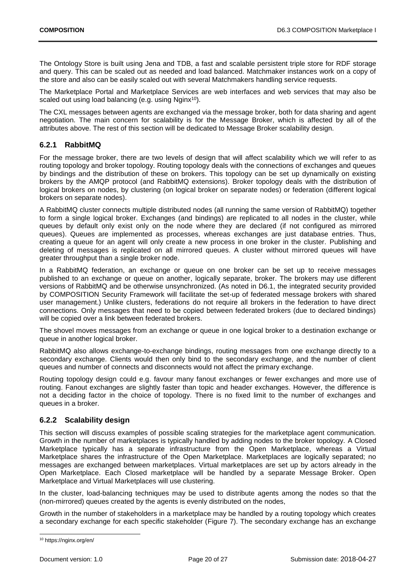The Ontology Store is built using Jena and TDB, a fast and scalable persistent triple store for RDF storage and query. This can be scaled out as needed and load balanced. Matchmaker instances work on a copy of the store and also can be easily scaled out with several Matchmakers handling service requests.

The Marketplace Portal and Marketplace Services are web interfaces and web services that may also be scaled out using load balancing (e.g. using Nginx<sup>10</sup>).

The CXL messages between agents are exchanged via the message broker, both for data sharing and agent negotiation. The main concern for scalability is for the Message Broker, which is affected by all of the attributes above. The rest of this section will be dedicated to Message Broker scalability design.

### <span id="page-19-0"></span>**6.2.1 RabbitMQ**

For the message broker, there are two levels of design that will affect scalability which we will refer to as routing topology and broker topology. Routing topology deals with the connections of exchanges and queues by bindings and the distribution of these on brokers. This topology can be set up dynamically on existing brokers by the AMQP protocol (and RabbitMQ extensions). Broker topology deals with the distribution of logical brokers on nodes, by clustering (on logical broker on separate nodes) or federation (different logical brokers on separate nodes).

A RabbitMQ cluster connects multiple distributed nodes (all running the same version of RabbitMQ) together to form a single logical broker. Exchanges (and bindings) are replicated to all nodes in the cluster, while queues by default only exist only on the node where they are declared (if not configured as mirrored queues). Queues are implemented as processes, whereas exchanges are just database entries. Thus, creating a queue for an agent will only create a new process in one broker in the cluster. Publishing and deleting of messages is replicated on all mirrored queues. A cluster without mirrored queues will have greater throughput than a single broker node.

In a RabbitMQ federation, an exchange or queue on one broker can be set up to receive messages published to an exchange or queue on another, logically separate, broker. The brokers may use different versions of RabbitMQ and be otherwise unsynchronized. (As noted in D6.1, the integrated security provided by COMPOSITION Security Framework will facilitate the set-up of federated message brokers with shared user management.) Unlike clusters, federations do not require all brokers in the federation to have direct connections. Only messages that need to be copied between federated brokers (due to declared bindings) will be copied over a link between federated brokers.

The shovel moves messages from an exchange or queue in one logical broker to a destination exchange or queue in another logical broker.

RabbitMQ also allows exchange-to-exchange bindings, routing messages from one exchange directly to a secondary exchange. Clients would then only bind to the secondary exchange, and the number of client queues and number of connects and disconnects would not affect the primary exchange.

Routing topology design could e.g. favour many fanout exchanges or fewer exchanges and more use of routing. Fanout exchanges are slightly faster than topic and header exchanges. However, the difference is not a deciding factor in the choice of topology. There is no fixed limit to the number of exchanges and queues in a broker.

#### <span id="page-19-1"></span>**6.2.2 Scalability design**

This section will discuss examples of possible scaling strategies for the marketplace agent communication. Growth in the number of marketplaces is typically handled by adding nodes to the broker topology. A Closed Marketplace typically has a separate infrastructure from the Open Marketplace, whereas a Virtual Marketplace shares the infrastructure of the Open Marketplace. Marketplaces are logically separated; no messages are exchanged between marketplaces. Virtual marketplaces are set up by actors already in the Open Marketplace. Each Closed marketplace will be handled by a separate Message Broker. Open Marketplace and Virtual Marketplaces will use clustering.

In the cluster, load-balancing techniques may be used to distribute agents among the nodes so that the (non-mirrored) queues created by the agents is evenly distributed on the nodes,

Growth in the number of stakeholders in a marketplace may be handled by a routing topology which creates a secondary exchange for each specific stakeholder [\(Figure 7\)](#page-20-0). The secondary exchange has an exchange

<sup>-</sup><sup>10</sup> https://nginx.org/en/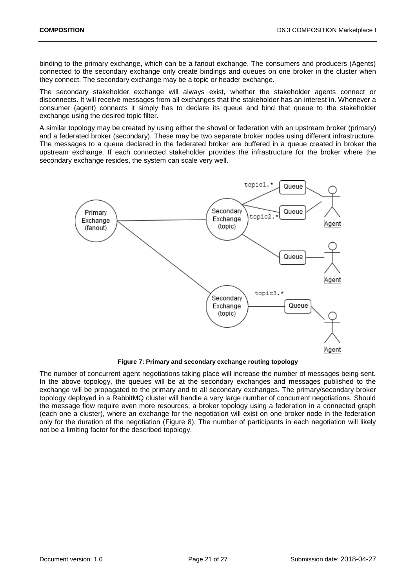binding to the primary exchange, which can be a fanout exchange. The consumers and producers (Agents) connected to the secondary exchange only create bindings and queues on one broker in the cluster when they connect. The secondary exchange may be a topic or header exchange.

The secondary stakeholder exchange will always exist, whether the stakeholder agents connect or disconnects. It will receive messages from all exchanges that the stakeholder has an interest in. Whenever a consumer (agent) connects it simply has to declare its queue and bind that queue to the stakeholder exchange using the desired topic filter.

A similar topology may be created by using either the shovel or federation with an upstream broker (primary) and a federated broker (secondary). These may be two separate broker nodes using different infrastructure. The messages to a queue declared in the federated broker are buffered in a queue created in broker the upstream exchange. If each connected stakeholder provides the infrastructure for the broker where the secondary exchange resides, the system can scale very well.



**Figure 7: Primary and secondary exchange routing topology**

<span id="page-20-0"></span>The number of concurrent agent negotiations taking place will increase the number of messages being sent. In the above topology, the queues will be at the secondary exchanges and messages published to the exchange will be propagated to the primary and to all secondary exchanges. The primary/secondary broker topology deployed in a RabbitMQ cluster will handle a very large number of concurrent negotiations. Should the message flow require even more resources, a broker topology using a federation in a connected graph (each one a cluster), where an exchange for the negotiation will exist on one broker node in the federation only for the duration of the negotiation [\(Figure 8\)](#page-21-0). The number of participants in each negotiation will likely not be a limiting factor for the described topology.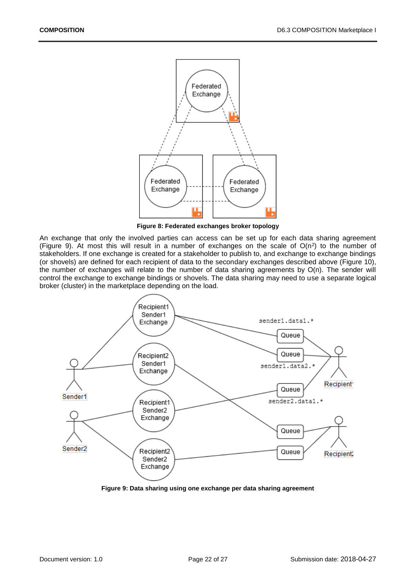

**Figure 8: Federated exchanges broker topology**

<span id="page-21-0"></span>An exchange that only the involved parties can access can be set up for each data sharing agreement [\(Figure 9\)](#page-21-1). At most this will result in a number of exchanges on the scale of  $O(n^2)$  to the number of stakeholders. If one exchange is created for a stakeholder to publish to, and exchange to exchange bindings (or shovels) are defined for each recipient of data to the secondary exchanges described above [\(Figure 10\)](#page-22-1), the number of exchanges will relate to the number of data sharing agreements by O(n). The sender will control the exchange to exchange bindings or shovels. The data sharing may need to use a separate logical broker (cluster) in the marketplace depending on the load.



<span id="page-21-1"></span>**Figure 9: Data sharing using one exchange per data sharing agreement**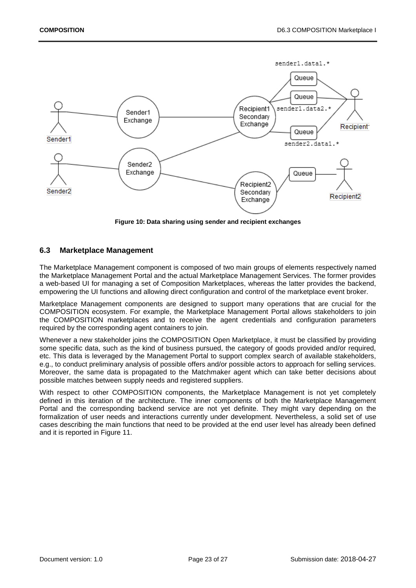

**Figure 10: Data sharing using sender and recipient exchanges**

#### <span id="page-22-1"></span><span id="page-22-0"></span>**6.3 Marketplace Management**

The Marketplace Management component is composed of two main groups of elements respectively named the Marketplace Management Portal and the actual Marketplace Management Services. The former provides a web-based UI for managing a set of Composition Marketplaces, whereas the latter provides the backend, empowering the UI functions and allowing direct configuration and control of the marketplace event broker.

Marketplace Management components are designed to support many operations that are crucial for the COMPOSITION ecosystem. For example, the Marketplace Management Portal allows stakeholders to join the COMPOSITION marketplaces and to receive the agent credentials and configuration parameters required by the corresponding agent containers to join.

Whenever a new stakeholder joins the COMPOSITION Open Marketplace, it must be classified by providing some specific data, such as the kind of business pursued, the category of goods provided and/or required, etc. This data is leveraged by the Management Portal to support complex search of available stakeholders, e.g., to conduct preliminary analysis of possible offers and/or possible actors to approach for selling services. Moreover, the same data is propagated to the Matchmaker agent which can take better decisions about possible matches between supply needs and registered suppliers.

With respect to other COMPOSITION components, the Marketplace Management is not yet completely defined in this iteration of the architecture. The inner components of both the Marketplace Management Portal and the corresponding backend service are not yet definite. They might vary depending on the formalization of user needs and interactions currently under development. Nevertheless, a solid set of use cases describing the main functions that need to be provided at the end user level has already been defined and it is reported in [Figure 11.](#page-23-0)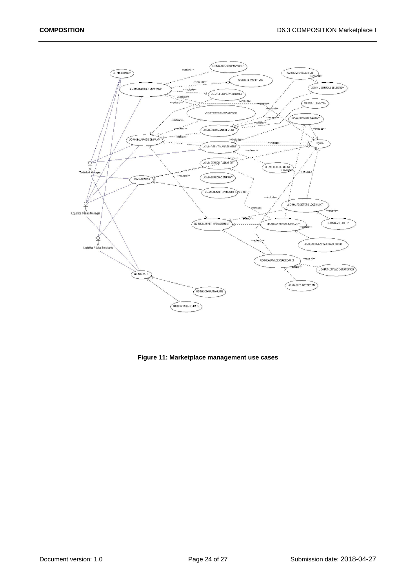

<span id="page-23-0"></span>**Figure 11: Marketplace management use cases**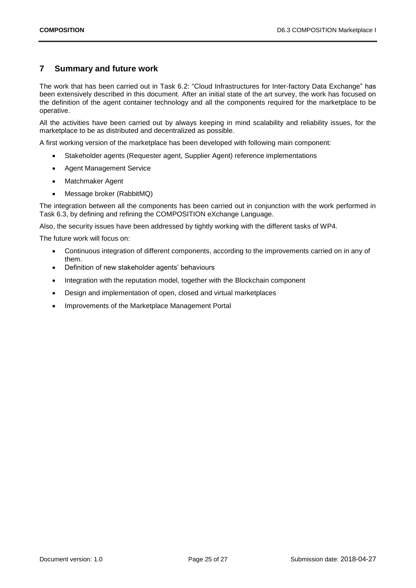# <span id="page-24-0"></span>**7 Summary and future work**

The work that has been carried out in Task 6.2: "Cloud Infrastructures for Inter-factory Data Exchange" has been extensively described in this document. After an initial state of the art survey, the work has focused on the definition of the agent container technology and all the components required for the marketplace to be operative.

All the activities have been carried out by always keeping in mind scalability and reliability issues, for the marketplace to be as distributed and decentralized as possible.

A first working version of the marketplace has been developed with following main component:

- Stakeholder agents (Requester agent, Supplier Agent) reference implementations
- Agent Management Service
- Matchmaker Agent
- Message broker (RabbitMQ)

The integration between all the components has been carried out in conjunction with the work performed in Task 6.3, by defining and refining the COMPOSITION eXchange Language.

Also, the security issues have been addressed by tightly working with the different tasks of WP4.

The future work will focus on:

- Continuous integration of different components, according to the improvements carried on in any of them.
- Definition of new stakeholder agents' behaviours
- Integration with the reputation model, together with the Blockchain component
- Design and implementation of open, closed and virtual marketplaces
- Improvements of the Marketplace Management Portal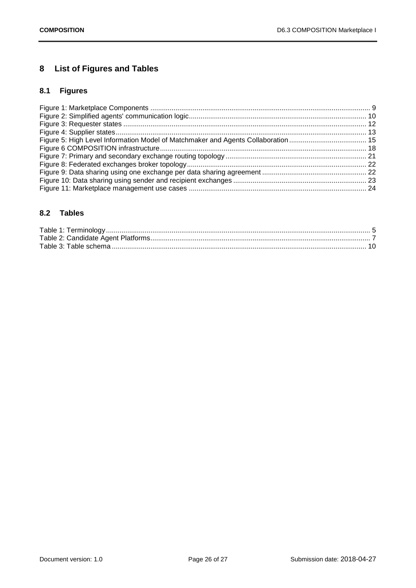# <span id="page-25-0"></span>**8 List of Figures and Tables**

# <span id="page-25-1"></span>**8.1 Figures**

## <span id="page-25-2"></span>**8.2 Tables**